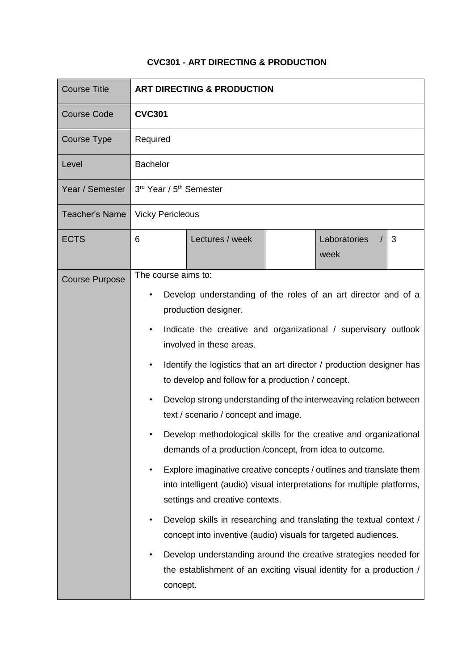# **CVC301 - ART DIRECTING & PRODUCTION**

| <b>Course Title</b>   | <b>ART DIRECTING &amp; PRODUCTION</b>                                                                                                                                                          |
|-----------------------|------------------------------------------------------------------------------------------------------------------------------------------------------------------------------------------------|
| <b>Course Code</b>    | <b>CVC301</b>                                                                                                                                                                                  |
| Course Type           | Required                                                                                                                                                                                       |
| Level                 | <b>Bachelor</b>                                                                                                                                                                                |
| Year / Semester       | 3rd Year / 5 <sup>th</sup> Semester                                                                                                                                                            |
| <b>Teacher's Name</b> | <b>Vicky Pericleous</b>                                                                                                                                                                        |
| <b>ECTS</b>           | Laboratories<br>Lectures / week<br>6<br>3<br>week                                                                                                                                              |
| <b>Course Purpose</b> | The course aims to:                                                                                                                                                                            |
|                       | Develop understanding of the roles of an art director and of a<br>production designer.                                                                                                         |
|                       | Indicate the creative and organizational / supervisory outlook<br>$\bullet$<br>involved in these areas.                                                                                        |
|                       | Identify the logistics that an art director / production designer has<br>to develop and follow for a production / concept.                                                                     |
|                       | Develop strong understanding of the interweaving relation between<br>$\bullet$<br>text / scenario / concept and image.                                                                         |
|                       | Develop methodological skills for the creative and organizational<br>demands of a production / concept, from idea to outcome.                                                                  |
|                       | Explore imaginative creative concepts / outlines and translate them<br>$\bullet$<br>into intelligent (audio) visual interpretations for multiple platforms,<br>settings and creative contexts. |
|                       | Develop skills in researching and translating the textual context /<br>$\bullet$<br>concept into inventive (audio) visuals for targeted audiences.                                             |
|                       | Develop understanding around the creative strategies needed for<br>$\bullet$<br>the establishment of an exciting visual identity for a production /<br>concept.                                |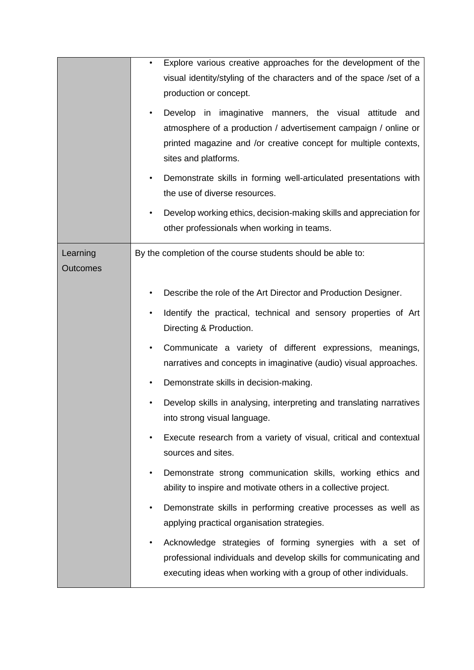|                             | Explore various creative approaches for the development of the<br>$\bullet$<br>visual identity/styling of the characters and of the space /set of a<br>production or concept.<br>Develop in imaginative manners, the visual attitude and<br>$\bullet$<br>atmosphere of a production / advertisement campaign / online or<br>printed magazine and /or creative concept for multiple contexts,<br>sites and platforms.<br>Demonstrate skills in forming well-articulated presentations with<br>the use of diverse resources.<br>Develop working ethics, decision-making skills and appreciation for<br>$\bullet$<br>other professionals when working in teams. |
|-----------------------------|--------------------------------------------------------------------------------------------------------------------------------------------------------------------------------------------------------------------------------------------------------------------------------------------------------------------------------------------------------------------------------------------------------------------------------------------------------------------------------------------------------------------------------------------------------------------------------------------------------------------------------------------------------------|
| Learning<br><b>Outcomes</b> | By the completion of the course students should be able to:                                                                                                                                                                                                                                                                                                                                                                                                                                                                                                                                                                                                  |
|                             | Describe the role of the Art Director and Production Designer.<br>Identify the practical, technical and sensory properties of Art<br>$\bullet$                                                                                                                                                                                                                                                                                                                                                                                                                                                                                                               |
|                             | Directing & Production.                                                                                                                                                                                                                                                                                                                                                                                                                                                                                                                                                                                                                                      |
|                             | Communicate a variety of different expressions, meanings,<br>$\bullet$<br>narratives and concepts in imaginative (audio) visual approaches.                                                                                                                                                                                                                                                                                                                                                                                                                                                                                                                  |
|                             | Demonstrate skills in decision-making.<br>$\bullet$                                                                                                                                                                                                                                                                                                                                                                                                                                                                                                                                                                                                          |
|                             | Develop skills in analysing, interpreting and translating narratives<br>into strong visual language.                                                                                                                                                                                                                                                                                                                                                                                                                                                                                                                                                         |
|                             | Execute research from a variety of visual, critical and contextual<br>٠<br>sources and sites.                                                                                                                                                                                                                                                                                                                                                                                                                                                                                                                                                                |
|                             | Demonstrate strong communication skills, working ethics and<br>٠<br>ability to inspire and motivate others in a collective project.                                                                                                                                                                                                                                                                                                                                                                                                                                                                                                                          |
|                             | Demonstrate skills in performing creative processes as well as<br>$\bullet$<br>applying practical organisation strategies.                                                                                                                                                                                                                                                                                                                                                                                                                                                                                                                                   |
|                             | Acknowledge strategies of forming synergies with a set of<br>$\bullet$<br>professional individuals and develop skills for communicating and<br>executing ideas when working with a group of other individuals.                                                                                                                                                                                                                                                                                                                                                                                                                                               |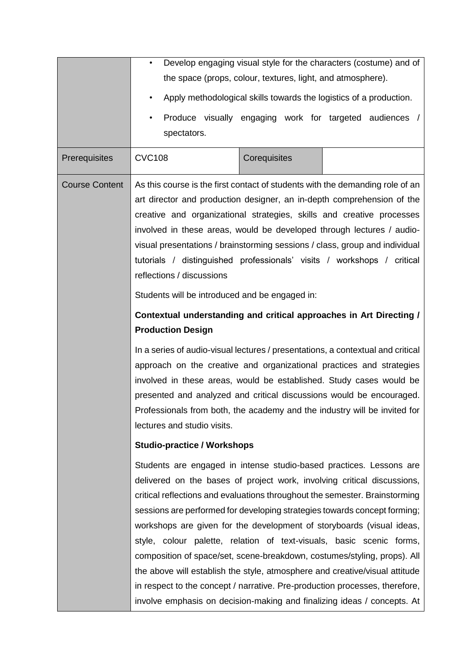| Prerequisites         | Develop engaging visual style for the characters (costume) and of<br>$\bullet$<br>the space (props, colour, textures, light, and atmosphere).<br>Apply methodological skills towards the logistics of a production.<br>$\bullet$<br>Produce visually engaging work for targeted audiences<br>$\bullet$<br>spectators.<br><b>CVC108</b><br>Corequisites                                                                                                                                                                                                                                                                                                                                                                                                                                                                 |
|-----------------------|------------------------------------------------------------------------------------------------------------------------------------------------------------------------------------------------------------------------------------------------------------------------------------------------------------------------------------------------------------------------------------------------------------------------------------------------------------------------------------------------------------------------------------------------------------------------------------------------------------------------------------------------------------------------------------------------------------------------------------------------------------------------------------------------------------------------|
| <b>Course Content</b> | As this course is the first contact of students with the demanding role of an<br>art director and production designer, an in-depth comprehension of the<br>creative and organizational strategies, skills and creative processes<br>involved in these areas, would be developed through lectures / audio-<br>visual presentations / brainstorming sessions / class, group and individual<br>tutorials / distinguished professionals' visits / workshops / critical<br>reflections / discussions                                                                                                                                                                                                                                                                                                                        |
|                       | Students will be introduced and be engaged in:<br>Contextual understanding and critical approaches in Art Directing /<br><b>Production Design</b><br>In a series of audio-visual lectures / presentations, a contextual and critical<br>approach on the creative and organizational practices and strategies<br>involved in these areas, would be established. Study cases would be<br>presented and analyzed and critical discussions would be encouraged.<br>Professionals from both, the academy and the industry will be invited for<br>lectures and studio visits.                                                                                                                                                                                                                                                |
|                       | <b>Studio-practice / Workshops</b><br>Students are engaged in intense studio-based practices. Lessons are<br>delivered on the bases of project work, involving critical discussions,<br>critical reflections and evaluations throughout the semester. Brainstorming<br>sessions are performed for developing strategies towards concept forming;<br>workshops are given for the development of storyboards (visual ideas,<br>style, colour palette, relation of text-visuals, basic scenic forms,<br>composition of space/set, scene-breakdown, costumes/styling, props). All<br>the above will establish the style, atmosphere and creative/visual attitude<br>in respect to the concept / narrative. Pre-production processes, therefore,<br>involve emphasis on decision-making and finalizing ideas / concepts. At |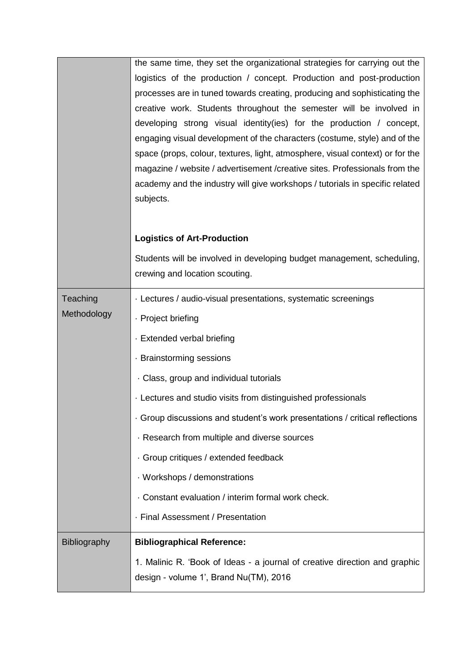|              | the same time, they set the organizational strategies for carrying out the                                                                                   |
|--------------|--------------------------------------------------------------------------------------------------------------------------------------------------------------|
|              | logistics of the production / concept. Production and post-production                                                                                        |
|              | processes are in tuned towards creating, producing and sophisticating the                                                                                    |
|              | creative work. Students throughout the semester will be involved in                                                                                          |
|              | developing strong visual identity(ies) for the production / concept,                                                                                         |
|              | engaging visual development of the characters (costume, style) and of the                                                                                    |
|              | space (props, colour, textures, light, atmosphere, visual context) or for the<br>magazine / website / advertisement / creative sites. Professionals from the |
|              | academy and the industry will give workshops / tutorials in specific related                                                                                 |
|              | subjects.                                                                                                                                                    |
|              |                                                                                                                                                              |
|              | <b>Logistics of Art-Production</b>                                                                                                                           |
|              |                                                                                                                                                              |
|              | Students will be involved in developing budget management, scheduling,<br>crewing and location scouting.                                                     |
|              |                                                                                                                                                              |
| Teaching     | · Lectures / audio-visual presentations, systematic screenings                                                                                               |
| Methodology  | · Project briefing                                                                                                                                           |
|              | · Extended verbal briefing                                                                                                                                   |
|              | · Brainstorming sessions                                                                                                                                     |
|              | Class, group and individual tutorials                                                                                                                        |
|              | · Lectures and studio visits from distinguished professionals                                                                                                |
|              | Group discussions and student's work presentations / critical reflections                                                                                    |
|              | Research from multiple and diverse sources                                                                                                                   |
|              | · Group critiques / extended feedback                                                                                                                        |
|              | · Workshops / demonstrations                                                                                                                                 |
|              | Constant evaluation / interim formal work check.                                                                                                             |
|              | · Final Assessment / Presentation                                                                                                                            |
| Bibliography | <b>Bibliographical Reference:</b>                                                                                                                            |
|              | 1. Malinic R. 'Book of Ideas - a journal of creative direction and graphic                                                                                   |
|              | design - volume 1', Brand Nu(TM), 2016                                                                                                                       |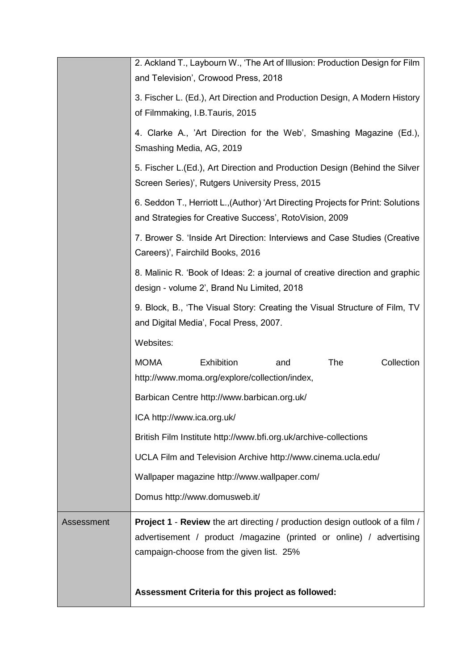|            | 2. Ackland T., Laybourn W., 'The Art of Illusion: Production Design for Film<br>and Television', Crowood Press, 2018                                                                                   |
|------------|--------------------------------------------------------------------------------------------------------------------------------------------------------------------------------------------------------|
|            | 3. Fischer L. (Ed.), Art Direction and Production Design, A Modern History<br>of Filmmaking, I.B.Tauris, 2015                                                                                          |
|            | 4. Clarke A., 'Art Direction for the Web', Smashing Magazine (Ed.),<br>Smashing Media, AG, 2019                                                                                                        |
|            | 5. Fischer L. (Ed.), Art Direction and Production Design (Behind the Silver<br>Screen Series)', Rutgers University Press, 2015                                                                         |
|            | 6. Seddon T., Herriott L., (Author) 'Art Directing Projects for Print: Solutions<br>and Strategies for Creative Success', RotoVision, 2009                                                             |
|            | 7. Brower S. 'Inside Art Direction: Interviews and Case Studies (Creative<br>Careers)', Fairchild Books, 2016                                                                                          |
|            | 8. Malinic R. 'Book of Ideas: 2: a journal of creative direction and graphic<br>design - volume 2', Brand Nu Limited, 2018                                                                             |
|            | 9. Block, B., 'The Visual Story: Creating the Visual Structure of Film, TV<br>and Digital Media', Focal Press, 2007.                                                                                   |
|            | Websites:                                                                                                                                                                                              |
|            | <b>MOMA</b><br>Collection<br>Exhibition<br>The<br>and<br>http://www.moma.org/explore/collection/index,                                                                                                 |
|            | Barbican Centre http://www.barbican.org.uk/                                                                                                                                                            |
|            | ICA http://www.ica.org.uk/                                                                                                                                                                             |
|            | British Film Institute http://www.bfi.org.uk/archive-collections                                                                                                                                       |
|            | UCLA Film and Television Archive http://www.cinema.ucla.edu/                                                                                                                                           |
|            | Wallpaper magazine http://www.wallpaper.com/                                                                                                                                                           |
|            | Domus http://www.domusweb.it/                                                                                                                                                                          |
| Assessment | <b>Project 1 - Review</b> the art directing / production design outlook of a film /<br>advertisement / product /magazine (printed or online) / advertising<br>campaign-choose from the given list. 25% |
|            | Assessment Criteria for this project as followed:                                                                                                                                                      |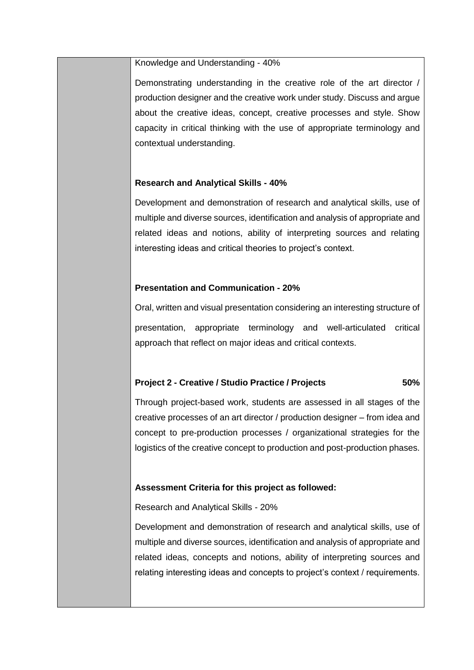#### Knowledge and Understanding - 40%

Demonstrating understanding in the creative role of the art director / production designer and the creative work under study. Discuss and argue about the creative ideas, concept, creative processes and style. Show capacity in critical thinking with the use of appropriate terminology and contextual understanding.

### **Research and Analytical Skills - 40%**

Development and demonstration of research and analytical skills, use of multiple and diverse sources, identification and analysis of appropriate and related ideas and notions, ability of interpreting sources and relating interesting ideas and critical theories to project's context.

### **Presentation and Communication - 20%**

Oral, written and visual presentation considering an interesting structure of presentation, appropriate terminology and well-articulated critical approach that reflect on major ideas and critical contexts.

# **Project 2 - Creative / Studio Practice / Projects 50%**

Through project-based work, students are assessed in all stages of the creative processes of an art director / production designer – from idea and concept to pre-production processes / organizational strategies for the logistics of the creative concept to production and post-production phases.

# **Assessment Criteria for this project as followed:**

Research and Analytical Skills - 20%

Development and demonstration of research and analytical skills, use of multiple and diverse sources, identification and analysis of appropriate and related ideas, concepts and notions, ability of interpreting sources and relating interesting ideas and concepts to project's context / requirements.